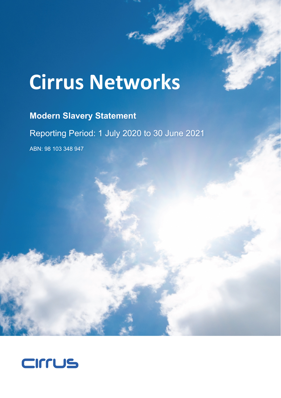# **Cirrus Networks**

## **Modern Slavery Statement**

Reporting Period: 1 July 2020 to 30 June 2021

ABN: 98 103 348 947

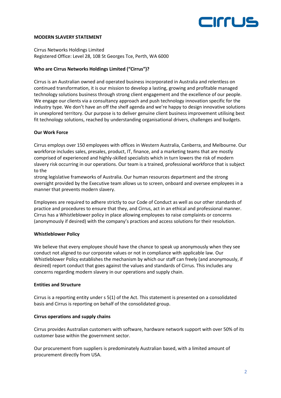

#### **MODERN SLAVERY STATEMENT**

Cirrus Networks Holdings Limited Registered Office: Level 28, 108 St Georges Tce, Perth, WA 6000

#### **Who are Cirrus Networks Holdings Limited ("Cirrus")?**

Cirrus is an Australian owned and operated business incorporated in Australia and relentless on continued transformation, it is our mission to develop a lasting, growing and profitable managed technology solutions business through strong client engagement and the excellence of our people. We engage our clients via a consultancy approach and push technology innovation specific for the industry type. We don't have an off the shelf agenda and we're happy to design innovative solutions in unexplored territory. Our purpose is to deliver genuine client business improvement utilising best fit technology solutions, reached by understanding organisational drivers, challenges and budgets.

#### **Our Work Force**

Cirrus employs over 150 employees with offices in Western Australia, Canberra, and Melbourne. Our workforce includes sales, presales, product, IT, finance, and a marketing teams that are mostly comprised of experienced and highly-skilled specialists which in turn lowers the risk of modern slavery risk occurring in our operations. Our team is a trained, professional workforce that is subject to the

strong legislative frameworks of Australia. Our human resources department and the strong oversight provided by the Executive team allows us to screen, onboard and oversee employees in a manner that prevents modern slavery.

Employees are required to adhere strictly to our Code of Conduct as well as our other standards of practice and procedures to ensure that they, and Cirrus, act in an ethical and professional manner. Cirrus has a Whistleblower policy in place allowing employees to raise complaints or concerns (anonymously if desired) with the company's practices and access solutions for their resolution.

#### **Whistleblower Policy**

We believe that every employee should have the chance to speak up anonymously when they see conduct not aligned to our corporate values or not in compliance with applicable law. Our Whistleblower Policy establishes the mechanism by which our staff can freely (and anonymously, if desired) report conduct that goes against the values and standards of Cirrus. This includes any concerns regarding modern slavery in our operations and supply chain.

#### **Entities and Structure**

Cirrus is a reporting entity under s 5(1) of the Act. This statement is presented on a consolidated basis and Cirrus is reporting on behalf of the consolidated group.

#### **Cirrus operations and supply chains**

Cirrus provides Australian customers with software, hardware network support with over 50% of its customer base within the government sector.

Our procurement from suppliers is predominately Australian based, with a limited amount of procurement directly from USA.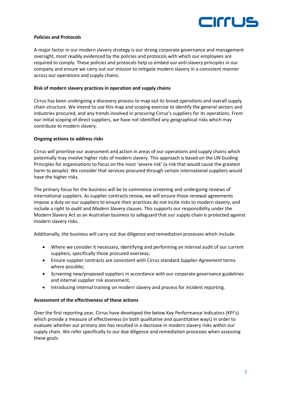

#### **Policies and Protocols**

A major factor in our modern slavery strategy is our strong corporate governance and management oversight, most readily evidenced by the policies and protocols with which our employees are required to comply. These policies and protocols help us embed our anti-slavery principles in our company and ensure we carry out our mission to mitigate modern slavery in a consistent manner across our operations and supply chains.

#### **Risk of modern slavery practices in operation and supply chains**

Cirrus has been undergoing a discovery process to map out its broad operations and overall supply chain structure. We intend to use this map and scoping exercise to identify the general sectors and industries procured, and any trends involved in procuring Cirrus's suppliers for its operations. From our initial scoping of direct suppliers, we have not identified any geographical risks which may contribute to modern slavery.

#### **Ongoing actions to address risks**

Cirrus will prioritise our assessment and action in areas of our operations and supply chains which potentially may involve higher risks of modern slavery. This approach is based on the UN Guiding Principles for organisations to focus on the most 'severe risk' (a risk that would cause the greatest harm to people). We consider that services procured through certain international suppliers would have the higher risks.

The primary focus for the business will be to commence screening and undergoing reviews of international suppliers. As supplier contracts renew, we will ensure those renewal agreements impose a duty on our suppliers to ensure their practices do not incite risks to modern slavery, and include a r*ight to audit* and *Modern Slavery* clauses. This supports our responsibility under the Modern Slavery Act as an Australian business to safeguard that our supply chain is protected against modern slavery risks.

Additionally, the business will carry out due diligence and remediation processes which include:

- Where we consider it necessary, identifying and performing an internal audit of our current suppliers, specifically those procured overseas;
- Ensure supplier contracts are consistent with Cirrus standard *Supplier Agreement* terms where possible*;*
- Screening new/proposed suppliers in accordance with our corporate governance guidelines and internal supplier risk assessment;
- Introducing internal training on modern slavery and process for incident reporting.

#### **Assessment of the effectiveness of these actions**

Over the first reporting year, Cirrus have developed the below Key Performance Indicators (KPI's) which provide a measure of effectiveness (in both qualitative and quantitative ways) in order to evaluate whether our primary aim has resulted in a decrease in modern slavery risks within our supply chain. We refer specifically to our due diligence and remediation processes when assessing these goals: